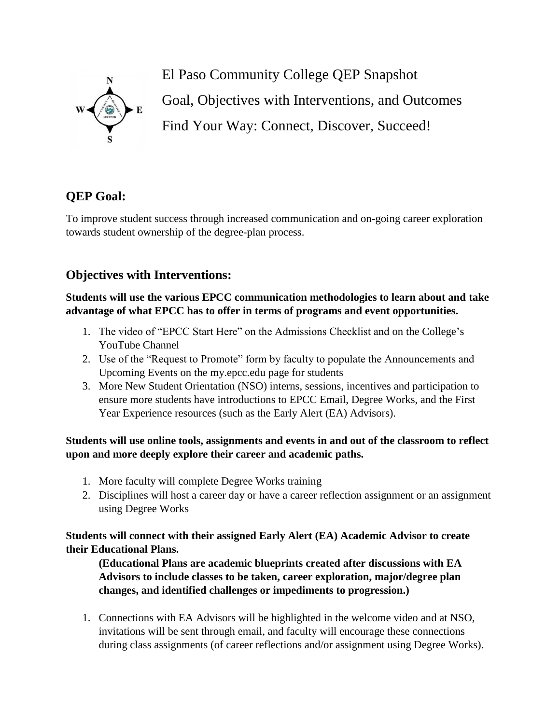

El Paso Community College QEP Snapshot Goal, Objectives with Interventions, and Outcomes Find Your Way: Connect, Discover, Succeed!

# **QEP Goal:**

To improve student success through increased communication and on-going career exploration towards student ownership of the degree-plan process.

# **Objectives with Interventions:**

**Students will use the various EPCC communication methodologies to learn about and take advantage of what EPCC has to offer in terms of programs and event opportunities.** 

- 1. The video of "EPCC Start Here" on the Admissions Checklist and on the College's YouTube Channel
- 2. Use of the "Request to Promote" form by faculty to populate the Announcements and Upcoming Events on the my.epcc.edu page for students
- 3. More New Student Orientation (NSO) interns, sessions, incentives and participation to ensure more students have introductions to EPCC Email, Degree Works, and the First Year Experience resources (such as the Early Alert (EA) Advisors).

**Students will use online tools, assignments and events in and out of the classroom to reflect upon and more deeply explore their career and academic paths.** 

- 1. More faculty will complete Degree Works training
- 2. Disciplines will host a career day or have a career reflection assignment or an assignment using Degree Works

**Students will connect with their assigned Early Alert (EA) Academic Advisor to create their Educational Plans.**

**(Educational Plans are academic blueprints created after discussions with EA Advisors to include classes to be taken, career exploration, major/degree plan changes, and identified challenges or impediments to progression.)**

1. Connections with EA Advisors will be highlighted in the welcome video and at NSO, invitations will be sent through email, and faculty will encourage these connections during class assignments (of career reflections and/or assignment using Degree Works).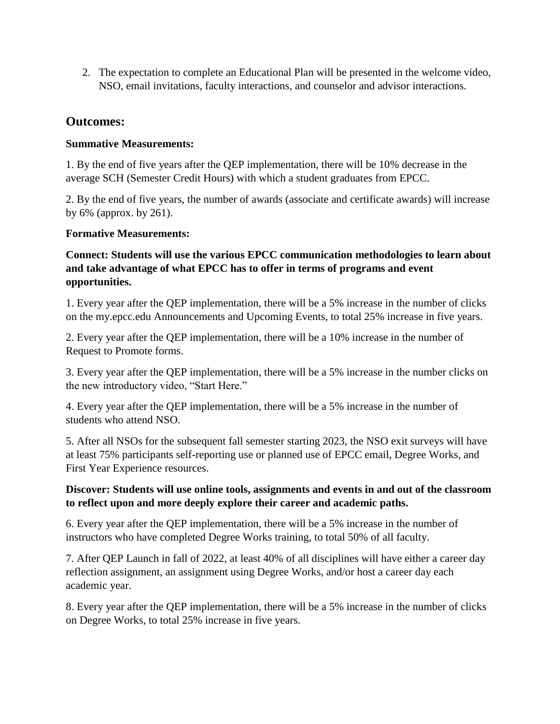2. The expectation to complete an Educational Plan will be presented in the welcome video, NSO, email invitations, faculty interactions, and counselor and advisor interactions.

## **Outcomes:**

#### **Summative Measurements:**

1. By the end of five years after the QEP implementation, there will be 10% decrease in the average SCH (Semester Credit Hours) with which a student graduates from EPCC.

2. By the end of five years, the number of awards (associate and certificate awards) will increase by 6% (approx. by 261).

#### **Formative Measurements:**

### **Connect: Students will use the various EPCC communication methodologies to learn about and take advantage of what EPCC has to offer in terms of programs and event opportunities.**

1. Every year after the QEP implementation, there will be a 5% increase in the number of clicks on the my.epcc.edu Announcements and Upcoming Events, to total 25% increase in five years.

2. Every year after the QEP implementation, there will be a 10% increase in the number of Request to Promote forms.

3. Every year after the QEP implementation, there will be a 5% increase in the number clicks on the new introductory video, "Start Here."

4. Every year after the QEP implementation, there will be a 5% increase in the number of students who attend NSO.

5. After all NSOs for the subsequent fall semester starting 2023, the NSO exit surveys will have at least 75% participants self-reporting use or planned use of EPCC email, Degree Works, and First Year Experience resources.

### **Discover: Students will use online tools, assignments and events in and out of the classroom to reflect upon and more deeply explore their career and academic paths.**

6. Every year after the QEP implementation, there will be a 5% increase in the number of instructors who have completed Degree Works training, to total 50% of all faculty.

7. After QEP Launch in fall of 2022, at least 40% of all disciplines will have either a career day reflection assignment, an assignment using Degree Works, and/or host a career day each academic year.

8. Every year after the QEP implementation, there will be a 5% increase in the number of clicks on Degree Works, to total 25% increase in five years.